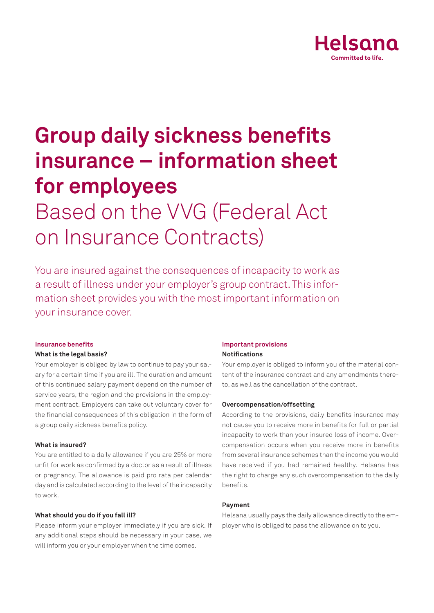

# **Group daily sickness benefits insurance – information sheet for employees**

## Based on the VVG (Federal Act on Insurance Contracts)

You are insured against the consequences of incapacity to work as a result of illness under your employer's group contract. This information sheet provides you with the most important information on your insurance cover.

#### **Insurance benefits**

#### **What is the legal basis?**

Your employer is obliged by law to continue to pay your salary for a certain time if you are ill. The duration and amount of this continued salary payment depend on the number of service years, the region and the provisions in the employment contract. Employers can take out voluntary cover for the financial consequences of this obligation in the form of a group daily sickness benefits policy.

#### **What is insured?**

You are entitled to a daily allowance if you are 25% or more unfit for work as confirmed by a doctor as a result of illness or pregnancy. The allowance is paid pro rata per calendar day and is calculated according to the level of the incapacity to work.

## **What should you do if you fall ill?**

Please inform your employer immediately if you are sick. If any additional steps should be necessary in your case, we will inform you or your employer when the time comes.

#### **Important provisions**

#### **Notifications**

Your employer is obliged to inform you of the material content of the insurance contract and any amendments thereto, as well as the cancellation of the contract.

#### **Overcompensation/offsetting**

According to the provisions, daily benefits insurance may not cause you to receive more in benefits for full or partial incapacity to work than your insured loss of income. Overcompensation occurs when you receive more in benefits from several insurance schemes than the income you would have received if you had remained healthy. Helsana has the right to charge any such overcompensation to the daily benefits.

## **Payment**

Helsana usually pays the daily allowance directly to the employer who is obliged to pass the allowance on to you.